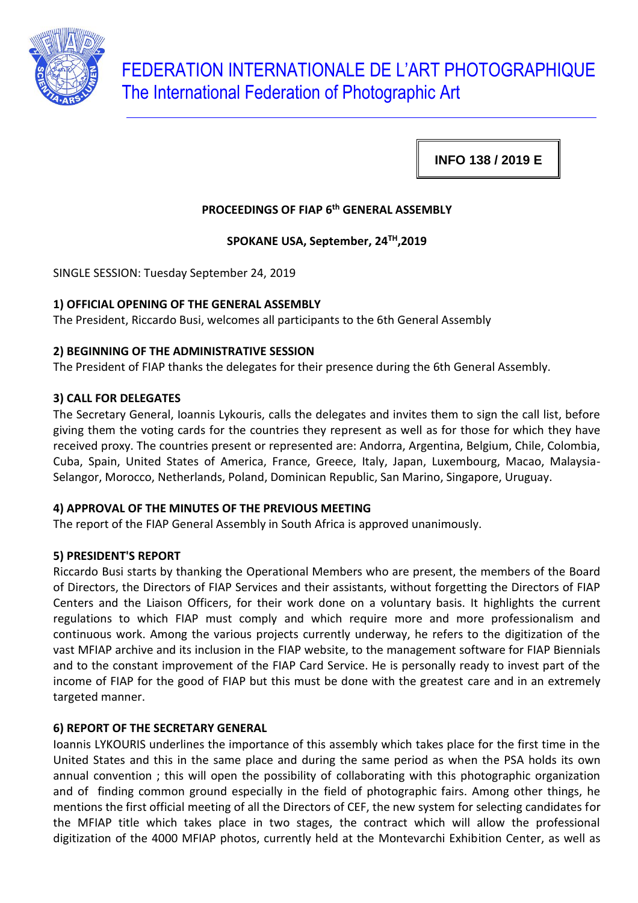

**INFO 138 / 2019 E**

# **PROCEEDINGS OF FIAP 6th GENERAL ASSEMBLY**

**SPOKANE USA, September, 24TH,2019**

SINGLE SESSION: Tuesday September 24, 2019

### **1) OFFICIAL OPENING OF THE GENERAL ASSEMBLY**

The President, Riccardo Busi, welcomes all participants to the 6th General Assembly

#### **2) BEGINNING OF THE ADMINISTRATIVE SESSION**

The President of FIAP thanks the delegates for their presence during the 6th General Assembly.

#### **3) CALL FOR DELEGATES**

The Secretary General, Ioannis Lykouris, calls the delegates and invites them to sign the call list, before giving them the voting cards for the countries they represent as well as for those for which they have received proxy. The countries present or represented are: Andorra, Argentina, Belgium, Chile, Colombia, Cuba, Spain, United States of America, France, Greece, Italy, Japan, Luxembourg, Macao, Malaysia-Selangor, Morocco, Netherlands, Poland, Dominican Republic, San Marino, Singapore, Uruguay.

### **4) APPROVAL OF THE MINUTES OF THE PREVIOUS MEETING**

The report of the FIAP General Assembly in South Africa is approved unanimously.

### **5) PRESIDENT'S REPORT**

Riccardo Busi starts by thanking the Operational Members who are present, the members of the Board of Directors, the Directors of FIAP Services and their assistants, without forgetting the Directors of FIAP Centers and the Liaison Officers, for their work done on a voluntary basis. It highlights the current regulations to which FIAP must comply and which require more and more professionalism and continuous work. Among the various projects currently underway, he refers to the digitization of the vast MFIAP archive and its inclusion in the FIAP website, to the management software for FIAP Biennials and to the constant improvement of the FIAP Card Service. He is personally ready to invest part of the income of FIAP for the good of FIAP but this must be done with the greatest care and in an extremely targeted manner.

### **6) REPORT OF THE SECRETARY GENERAL**

Ioannis LYKOURIS underlines the importance of this assembly which takes place for the first time in the United States and this in the same place and during the same period as when the PSA holds its own annual convention ; this will open the possibility of collaborating with this photographic organization and of finding common ground especially in the field of photographic fairs. Among other things, he mentions the first official meeting of all the Directors of CEF, the new system for selecting candidates for the MFIAP title which takes place in two stages, the contract which will allow the professional digitization of the 4000 MFIAP photos, currently held at the Montevarchi Exhibition Center, as well as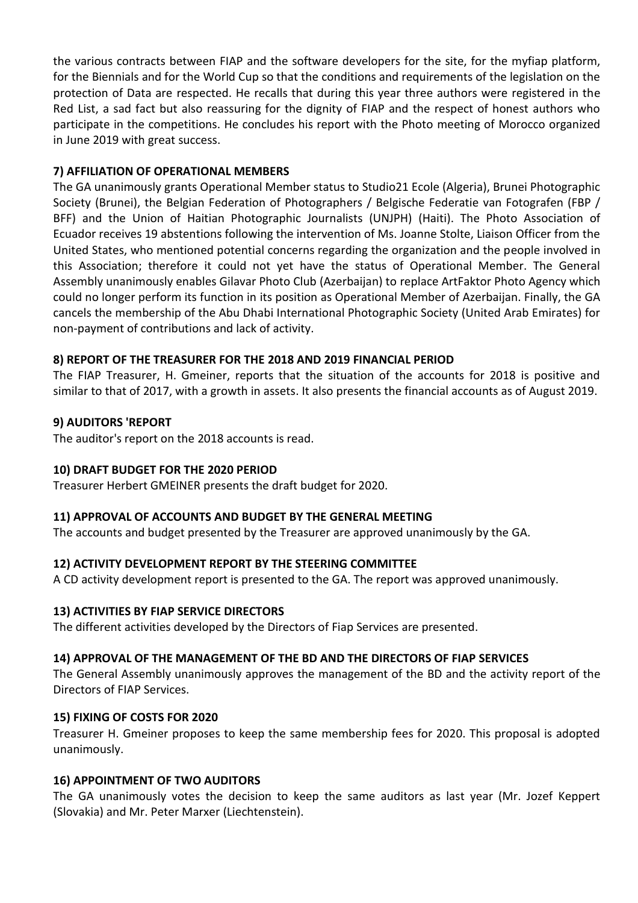the various contracts between FIAP and the software developers for the site, for the myfiap platform, for the Biennials and for the World Cup so that the conditions and requirements of the legislation on the protection of Data are respected. He recalls that during this year three authors were registered in the Red List, a sad fact but also reassuring for the dignity of FIAP and the respect of honest authors who participate in the competitions. He concludes his report with the Photo meeting of Morocco organized in June 2019 with great success.

### **7) AFFILIATION OF OPERATIONAL MEMBERS**

The GA unanimously grants Operational Member status to Studio21 Ecole (Algeria), Brunei Photographic Society (Brunei), the Belgian Federation of Photographers / Belgische Federatie van Fotografen (FBP / BFF) and the Union of Haitian Photographic Journalists (UNJPH) (Haiti). The Photo Association of Ecuador receives 19 abstentions following the intervention of Ms. Joanne Stolte, Liaison Officer from the United States, who mentioned potential concerns regarding the organization and the people involved in this Association; therefore it could not yet have the status of Operational Member. The General Assembly unanimously enables Gilavar Photo Club (Azerbaijan) to replace ArtFaktor Photo Agency which could no longer perform its function in its position as Operational Member of Azerbaijan. Finally, the GA cancels the membership of the Abu Dhabi International Photographic Society (United Arab Emirates) for non-payment of contributions and lack of activity.

## **8) REPORT OF THE TREASURER FOR THE 2018 AND 2019 FINANCIAL PERIOD**

The FIAP Treasurer, H. Gmeiner, reports that the situation of the accounts for 2018 is positive and similar to that of 2017, with a growth in assets. It also presents the financial accounts as of August 2019.

### **9) AUDITORS 'REPORT**

The auditor's report on the 2018 accounts is read.

### **10) DRAFT BUDGET FOR THE 2020 PERIOD**

Treasurer Herbert GMEINER presents the draft budget for 2020.

### **11) APPROVAL OF ACCOUNTS AND BUDGET BY THE GENERAL MEETING**

The accounts and budget presented by the Treasurer are approved unanimously by the GA.

### **12) ACTIVITY DEVELOPMENT REPORT BY THE STEERING COMMITTEE**

A CD activity development report is presented to the GA. The report was approved unanimously.

### **13) ACTIVITIES BY FIAP SERVICE DIRECTORS**

The different activities developed by the Directors of Fiap Services are presented.

### **14) APPROVAL OF THE MANAGEMENT OF THE BD AND THE DIRECTORS OF FIAP SERVICES**

The General Assembly unanimously approves the management of the BD and the activity report of the Directors of FIAP Services.

### **15) FIXING OF COSTS FOR 2020**

Treasurer H. Gmeiner proposes to keep the same membership fees for 2020. This proposal is adopted unanimously.

### **16) APPOINTMENT OF TWO AUDITORS**

The GA unanimously votes the decision to keep the same auditors as last year (Mr. Jozef Keppert (Slovakia) and Mr. Peter Marxer (Liechtenstein).